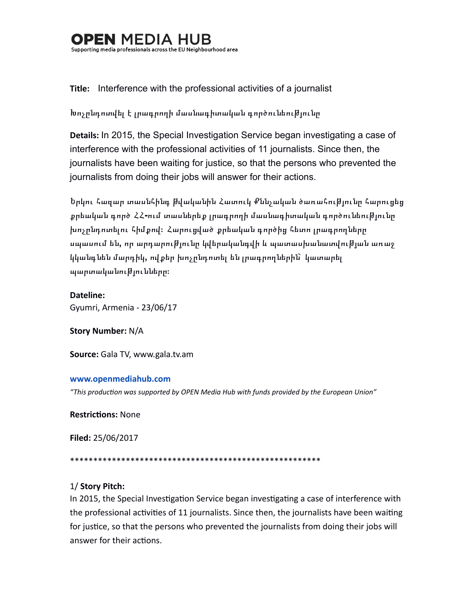## I MFDIA Supporting media professionals across the EU Neighbourhood area

## **Title:** Interference with the professional activities of a journalist

## Խոչընդոտվել է լրագրողի մասնագիտական գործունեուխյունը

**Details:** In 2015, the Special Investigation Service began investigating a case of interference with the professional activities of 11 journalists. Since then, the journalists have been waiting for justice, so that the persons who prevented the journalists from doing their jobs will answer for their actions.

Երկու հազար տասնհինգ խվականին Հատուկ Քննչական ծառահուխյունը հարուցեց քրեական գործ ՀՀ-ում տասներեք լրագրողի մասնագիտական գործունեու**թյունը** խոչընդոտելու հիմքով։ Հարուցված քրեական գործից հետո լրագրողները սպասում են, որ արդարու**թյունը կվերականգվի և պատասխանատվու**թյան առաջ կկանգնեն մարդիկ**,** ովքեր խոչընդոտել են լրագրողներին՝ կատարել պարտականությունները։

**Dateline:** Gyumri, Armenia - 23/06/17

**Story Number: N/A** 

Source: Gala TV, www.gala.tv.am

#### **www.openmediahub.com**

"This production was supported by OPEN Media Hub with funds provided by the European Union"

**Restrictions: None** 

**Filed:** 25/06/2017 

\*\*\*\*\*\*\*\*\*\*\*\*\*\*\*\*\*\*\*\*\*\*\*\*\*\*\*\*\*\*\*\*\*\*\*\*\*\*\*\*\*\*\*\*\*\*\*\*\*\*\*\*\*\* 

#### 1/ **Story Pitch:**

In 2015, the Special Investigation Service began investigating a case of interference with the professional activities of 11 journalists. Since then, the journalists have been waiting for justice, so that the persons who prevented the journalists from doing their jobs will answer for their actions.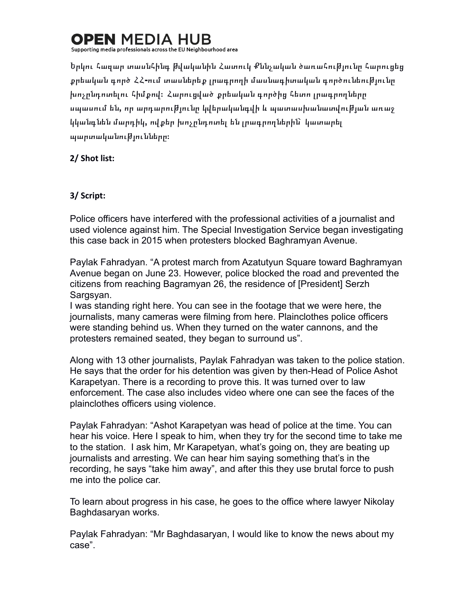# **OPEN MEDIA F**

Supporting media professionals across the EU Neighbourhood area

Երկու հազար տասնհինգ խվականին Հատուկ Քննչական ծառահուխյունը հարուցե<u>ց</u> քրեական գործ ՀՀ**-**ում տասներեք լրագրողի մասնագիտական գործունեությունը խոչընդոտելու հիմքով։ Հարուցված քրեական գործից հետո լրագրողները սպասում են, որ արդարու**թյունը կվերականգվի և պատասխանատվու**թյան առաջ կկանգնեն մարդիկ**,** ովքեր խոչընդոտել են լրագրողներին՝ կատարել պարտականությունները։

**2/ Shot list:**

### **3/ Script:**

Police officers have interfered with the professional activities of a journalist and used violence against him. The Special Investigation Service began investigating this case back in 2015 when protesters blocked Baghramyan Avenue.

Paylak Fahradyan. "A protest march from Azatutyun Square toward Baghramyan Avenue began on June 23. However, police blocked the road and prevented the citizens from reaching Bagramyan 26, the residence of [President] Serzh Sargsyan.

I was standing right here. You can see in the footage that we were here, the journalists, many cameras were filming from here. Plainclothes police officers were standing behind us. When they turned on the water cannons, and the protesters remained seated, they began to surround us".

Along with 13 other journalists, Paylak Fahradyan was taken to the police station. He says that the order for his detention was given by then-Head of Police Ashot Karapetyan. There is a recording to prove this. It was turned over to law enforcement. The case also includes video where one can see the faces of the plainclothes officers using violence.

Paylak Fahradyan: "Ashot Karapetyan was head of police at the time. You can hear his voice. Here I speak to him, when they try for the second time to take me to the station. I ask him, Mr Karapetyan, what's going on, they are beating up journalists and arresting. We can hear him saying something that's in the recording, he says "take him away", and after this they use brutal force to push me into the police car.

To learn about progress in his case, he goes to the office where lawyer Nikolay Baghdasaryan works.

Paylak Fahradyan: "Mr Baghdasaryan, I would like to know the news about my case".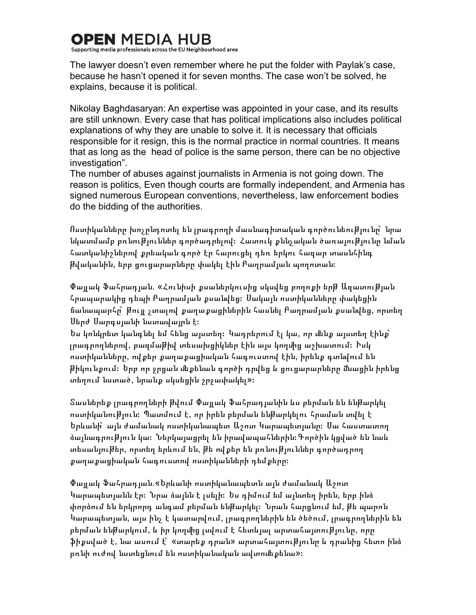## **OPEN MEDIA HI**

Supporting media professionals across the EU Neighbourhood area

The lawyer doesn't even remember where he put the folder with Paylak's case, because he hasn't opened it for seven months. The case won't be solved, he explains, because it is political.

Nikolay Baghdasaryan: An expertise was appointed in your case, and its results are still unknown. Every case that has political implications also includes political explanations of why they are unable to solve it. It is necessary that officials responsible for it resign, this is the normal practice in normal countries. It means that as long as the head of police is the same person, there can be no objective investigation".

The number of abuses against journalists in Armenia is not going down. The reason is politics, Even though courts are formally independent, and Armenia has signed numerous European conventions, nevertheless, law enforcement bodies do the bidding of the authorities.

Ոստիկանները խոչընդոտել են լրագրողի մասնագիտական գործունեությունը՝ նրա նկատմամբ բռնուխյուններ գործադրելով։ Հատուկ քննչական ծառայուխյունը նման հատկանիշներով քրեական գործ էր հարուցել դեռ երկու հազար տասնհինգ թվականին, երբ ցուցարարները փակել էին Բաղրամյան պողոտան։

Փալլակ Ֆահրադյան. «Հունիսի քսաներկուսից սկսվեց բողոքի երխ Ազատուխյան հրապարակից դեպի Բաղրամյան քսանվեց։ Սակայն ոստիկանները փակեցին ճանապարհը՝ թույլ չտալով քաղաքացիներին հասնել Բաղրամյան քսանվեց, որտեղ Սերժ Սարգսյանի նստավայրն է։

Ես կոնկրետ կանգնել եմ հենց այստեղ։ Կադրերում էլ կա, որ մենք այստեղ էինք` լրագրողներով, բազմաթիվ տեսախցիկներ էին այս կողմից աշխատում։ Իսկ ոստիկանները, ով քեր քաղաքացիական հագուստով էին, իրենք գտնվում են թիկունքում։ Երբ որ ջրցան ﬔքենան գործի դրվեց և ցուցարարները ﬓացին իրենց տեղում նստած, նրանք սկսեցին շրջափակել»։

Տասներեք լրագրողների թվում Փայլակ Ֆահրադյանին ևս բերման են ենթարկել ոստիկանուխուն։ Պատմում է, որ իրեն բերման ենխարկելու հրաման տվել է Երևանի՝ այն ժամանակ ոստիկանապետ Աշոտ Կարապետյանը։ Սա հաստատող ձալնագրություն կա։ Ներկայացրել են իրավապահներին։Գործին կցված են նաև տեսանյութեր, որտեղ երևում են, թե ովքեր են բռնություններ գործադրող քաղաքացիական հագուստով ոստիկանների դեմքերը։

Փայլակ Ֆահրադյան.«Երևանի ոստիկանապետն այն ժամանակ Աշոտ Կարապետյանն էր։ Նրա ձայնն է լսելի։ Ես դիմում եմ այնտեղ իրեն, երբ ինձ փորձում են երկրորդ անգամ բերման ենթարկել։ Նրան հարցնում եմ, թե պարոն Կարապետյան, այս ինչ է կատարվում, լրագրողներին են ծեծում, լրագրողներին են բերման ենխարկում, և իր կողմից լսվում է հետևյալ արտահայտուխյունը, որը ֆիքսված է, նա ասում է՝ «տարեք դրան» արտահայտությունը և դրանից հետո ինձ բռնի ուժով նստեցնում են ոստիկանական ավտոմեքենա»։